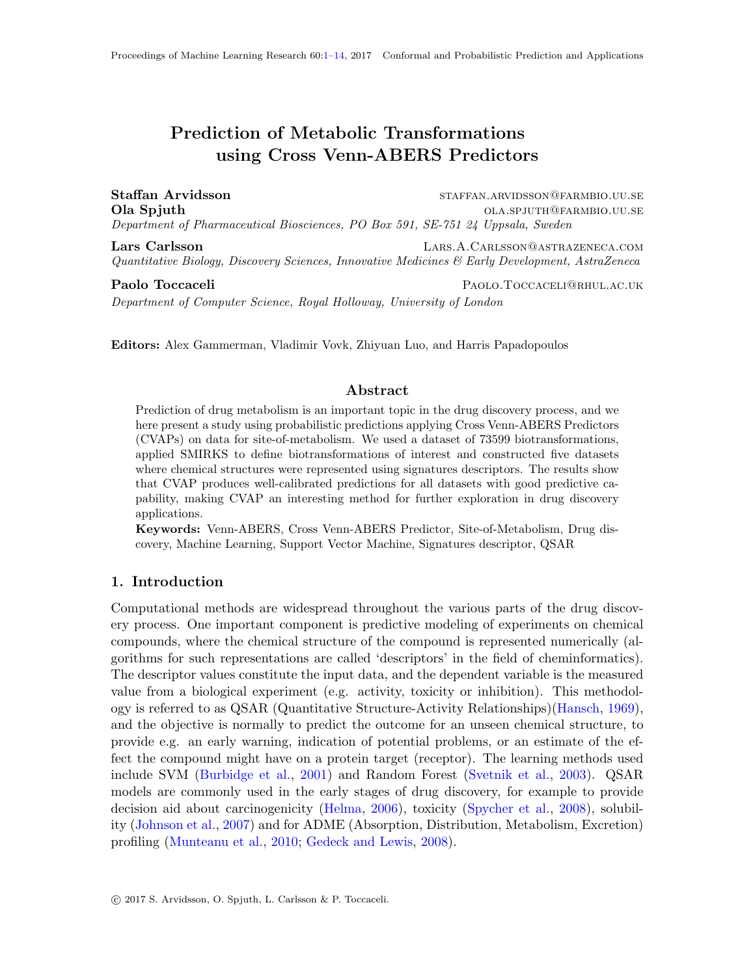# <span id="page-0-0"></span>Prediction of Metabolic Transformations using Cross Venn-ABERS Predictors

Staffan Arvidsson staffan.arvidsson staffan.arvidsson staffan.arvidsson staffan. Ola Spjuth ola.spjuth ola.spjuth ola.spjuth ola.spjuth ola.spjuth ola.spjuth ola.spjuth ola.spjuth ola.spidle Department of Pharmaceutical Biosciences, PO Box 591, SE-751 24 Uppsala, Sweden

Lars Carlsson Lars.A.Carlsson@astrazeneca.com Quantitative Biology, Discovery Sciences, Innovative Medicines & Early Development, AstraZeneca

Paolo Toccaceli **Paolo** Paolo.ToccaceLI@RHUL.AC.UK Department of Computer Science, Royal Holloway, University of London

Editors: Alex Gammerman, Vladimir Vovk, Zhiyuan Luo, and Harris Papadopoulos

#### Abstract

Prediction of drug metabolism is an important topic in the drug discovery process, and we here present a study using probabilistic predictions applying Cross Venn-ABERS Predictors (CVAPs) on data for site-of-metabolism. We used a dataset of 73599 biotransformations, applied SMIRKS to define biotransformations of interest and constructed five datasets where chemical structures were represented using signatures descriptors. The results show that CVAP produces well-calibrated predictions for all datasets with good predictive capability, making CVAP an interesting method for further exploration in drug discovery applications.

Keywords: Venn-ABERS, Cross Venn-ABERS Predictor, Site-of-Metabolism, Drug discovery, Machine Learning, Support Vector Machine, Signatures descriptor, QSAR

# 1. Introduction

Computational methods are widespread throughout the various parts of the drug discovery process. One important component is predictive modeling of experiments on chemical compounds, where the chemical structure of the compound is represented numerically (algorithms for such representations are called 'descriptors' in the field of cheminformatics). The descriptor values constitute the input data, and the dependent variable is the measured value from a biological experiment (e.g. activity, toxicity or inhibition). This methodology is referred to as QSAR (Quantitative Structure-Activity Relationships)[\(Hansch,](#page-11-0) [1969\)](#page-11-0), and the objective is normally to predict the outcome for an unseen chemical structure, to provide e.g. an early warning, indication of potential problems, or an estimate of the effect the compound might have on a protein target (receptor). The learning methods used include SVM [\(Burbidge et al.,](#page-11-1) [2001\)](#page-11-1) and Random Forest [\(Svetnik et al.,](#page-12-0) [2003\)](#page-12-0). QSAR models are commonly used in the early stages of drug discovery, for example to provide decision aid about carcinogenicity [\(Helma,](#page-12-1) [2006\)](#page-12-1), toxicity [\(Spycher et al.,](#page-12-2) [2008\)](#page-12-2), solubility [\(Johnson et al.,](#page-12-3) [2007\)](#page-12-3) and for ADME (Absorption, Distribution, Metabolism, Excretion) profiling [\(Munteanu et al.,](#page-12-4) [2010;](#page-12-4) [Gedeck and Lewis,](#page-11-2) [2008\)](#page-11-2).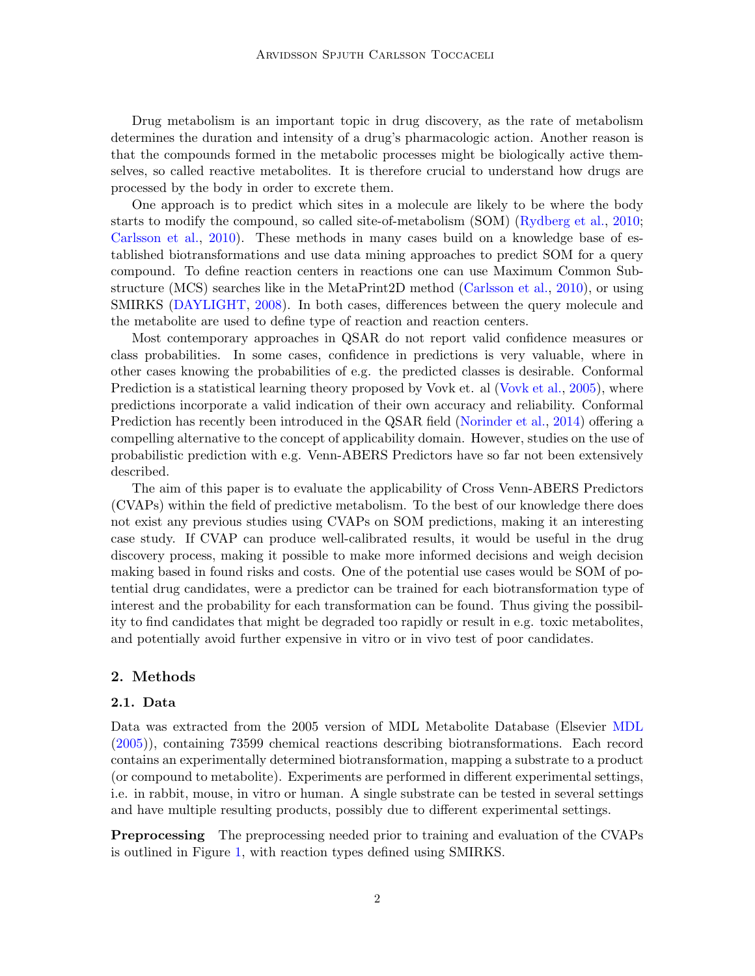Drug metabolism is an important topic in drug discovery, as the rate of metabolism determines the duration and intensity of a drug's pharmacologic action. Another reason is that the compounds formed in the metabolic processes might be biologically active themselves, so called reactive metabolites. It is therefore crucial to understand how drugs are processed by the body in order to excrete them.

One approach is to predict which sites in a molecule are likely to be where the body starts to modify the compound, so called site-of-metabolism (SOM) [\(Rydberg et al.,](#page-12-5) [2010;](#page-12-5) [Carlsson et al.,](#page-11-3) [2010\)](#page-11-3). These methods in many cases build on a knowledge base of established biotransformations and use data mining approaches to predict SOM for a query compound. To define reaction centers in reactions one can use Maximum Common Substructure (MCS) searches like in the MetaPrint2D method [\(Carlsson et al.,](#page-11-3) [2010\)](#page-11-3), or using SMIRKS [\(DAYLIGHT,](#page-11-4) [2008\)](#page-11-4). In both cases, differences between the query molecule and the metabolite are used to define type of reaction and reaction centers.

Most contemporary approaches in QSAR do not report valid confidence measures or class probabilities. In some cases, confidence in predictions is very valuable, where in other cases knowing the probabilities of e.g. the predicted classes is desirable. Conformal Prediction is a statistical learning theory proposed by Vovk et. al [\(Vovk et al.,](#page-12-6) [2005\)](#page-12-6), where predictions incorporate a valid indication of their own accuracy and reliability. Conformal Prediction has recently been introduced in the QSAR field [\(Norinder et al.,](#page-12-7) [2014\)](#page-12-7) offering a compelling alternative to the concept of applicability domain. However, studies on the use of probabilistic prediction with e.g. Venn-ABERS Predictors have so far not been extensively described.

The aim of this paper is to evaluate the applicability of Cross Venn-ABERS Predictors (CVAPs) within the field of predictive metabolism. To the best of our knowledge there does not exist any previous studies using CVAPs on SOM predictions, making it an interesting case study. If CVAP can produce well-calibrated results, it would be useful in the drug discovery process, making it possible to make more informed decisions and weigh decision making based in found risks and costs. One of the potential use cases would be SOM of potential drug candidates, were a predictor can be trained for each biotransformation type of interest and the probability for each transformation can be found. Thus giving the possibility to find candidates that might be degraded too rapidly or result in e.g. toxic metabolites, and potentially avoid further expensive in vitro or in vivo test of poor candidates.

#### 2. Methods

#### 2.1. Data

Data was extracted from the 2005 version of MDL Metabolite Database (Elsevier [MDL](#page-12-8) [\(2005\)](#page-12-8)), containing 73599 chemical reactions describing biotransformations. Each record contains an experimentally determined biotransformation, mapping a substrate to a product (or compound to metabolite). Experiments are performed in different experimental settings, i.e. in rabbit, mouse, in vitro or human. A single substrate can be tested in several settings and have multiple resulting products, possibly due to different experimental settings.

**Preprocessing** The preprocessing needed prior to training and evaluation of the CVAPs is outlined in Figure [1,](#page-2-0) with reaction types defined using SMIRKS.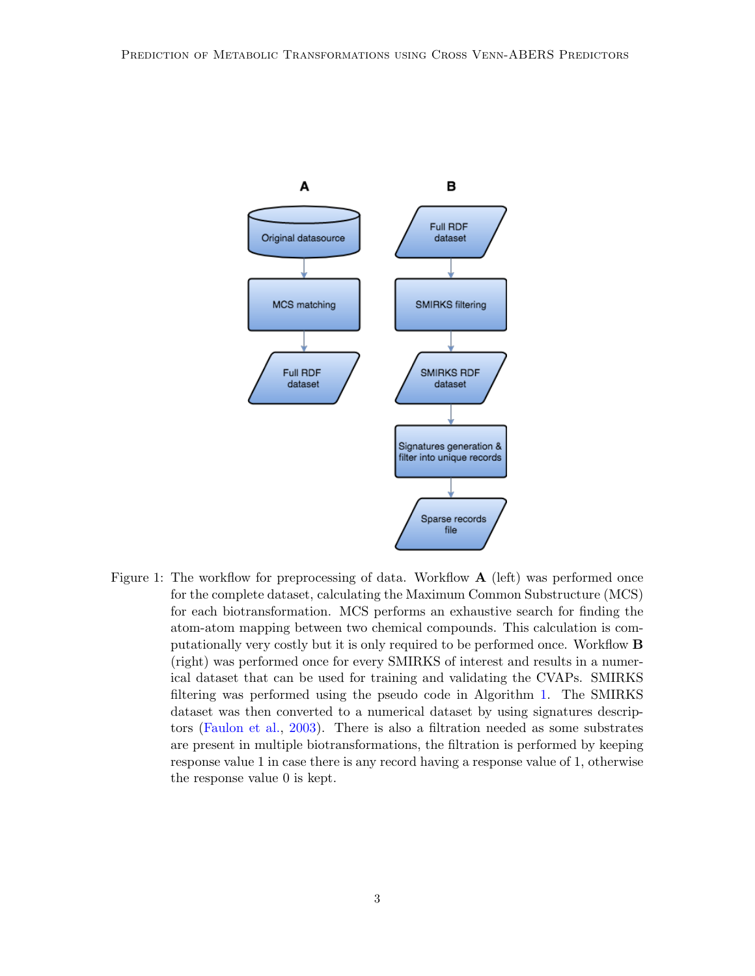

<span id="page-2-0"></span>Figure 1: The workflow for preprocessing of data. Workflow  $\bf{A}$  (left) was performed once for the complete dataset, calculating the Maximum Common Substructure (MCS) for each biotransformation. MCS performs an exhaustive search for finding the atom-atom mapping between two chemical compounds. This calculation is computationally very costly but it is only required to be performed once. Workflow B (right) was performed once for every SMIRKS of interest and results in a numerical dataset that can be used for training and validating the CVAPs. SMIRKS filtering was performed using the pseudo code in Algorithm [1.](#page-4-0) The SMIRKS dataset was then converted to a numerical dataset by using signatures descriptors [\(Faulon et al.,](#page-11-5) [2003\)](#page-11-5). There is also a filtration needed as some substrates are present in multiple biotransformations, the filtration is performed by keeping response value 1 in case there is any record having a response value of 1, otherwise the response value 0 is kept.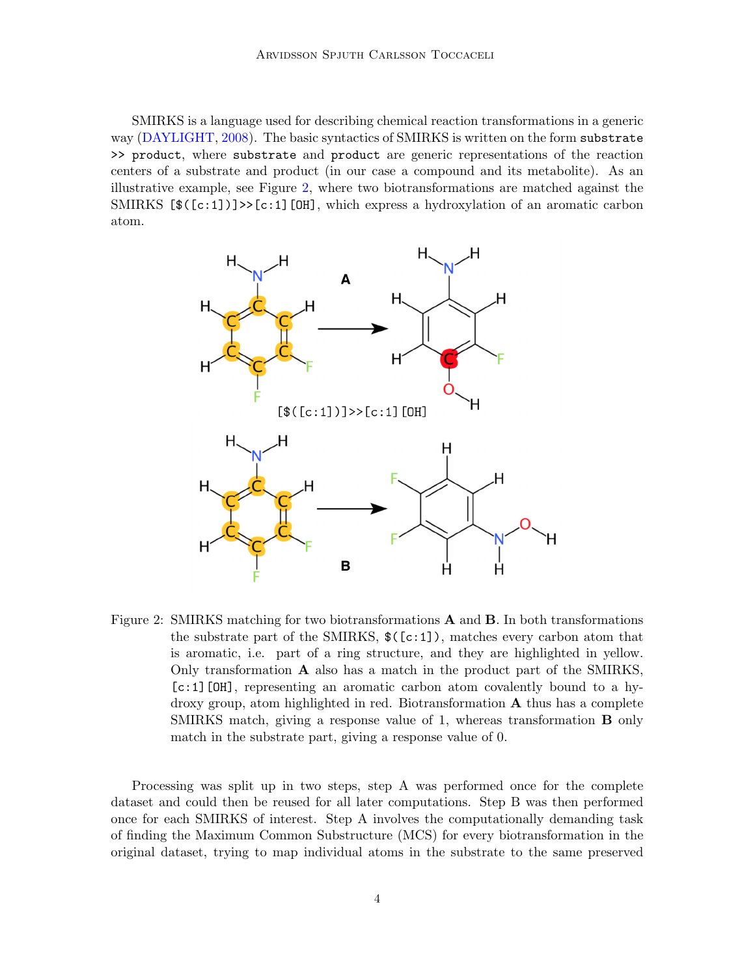SMIRKS is a language used for describing chemical reaction transformations in a generic way [\(DAYLIGHT,](#page-11-4) [2008\)](#page-11-4). The basic syntactics of SMIRKS is written on the form substrate >> product, where substrate and product are generic representations of the reaction centers of a substrate and product (in our case a compound and its metabolite). As an illustrative example, see Figure [2,](#page-3-0) where two biotransformations are matched against the SMIRKS  $[\frac{\mathcal{F}(\c:1)}{\in}]\geq [c:1]$  [OH], which express a hydroxylation of an aromatic carbon atom.



<span id="page-3-0"></span>Figure 2: SMIRKS matching for two biotransformations  $\bf{A}$  and  $\bf{B}$ . In both transformations the substrate part of the SMIRKS,  $(\c{c:1})$ , matches every carbon atom that is aromatic, i.e. part of a ring structure, and they are highlighted in yellow. Only transformation A also has a match in the product part of the SMIRKS, [c:1][OH], representing an aromatic carbon atom covalently bound to a hydroxy group, atom highlighted in red. Biotransformation A thus has a complete SMIRKS match, giving a response value of 1, whereas transformation B only match in the substrate part, giving a response value of 0.

Processing was split up in two steps, step A was performed once for the complete dataset and could then be reused for all later computations. Step B was then performed once for each SMIRKS of interest. Step A involves the computationally demanding task of finding the Maximum Common Substructure (MCS) for every biotransformation in the original dataset, trying to map individual atoms in the substrate to the same preserved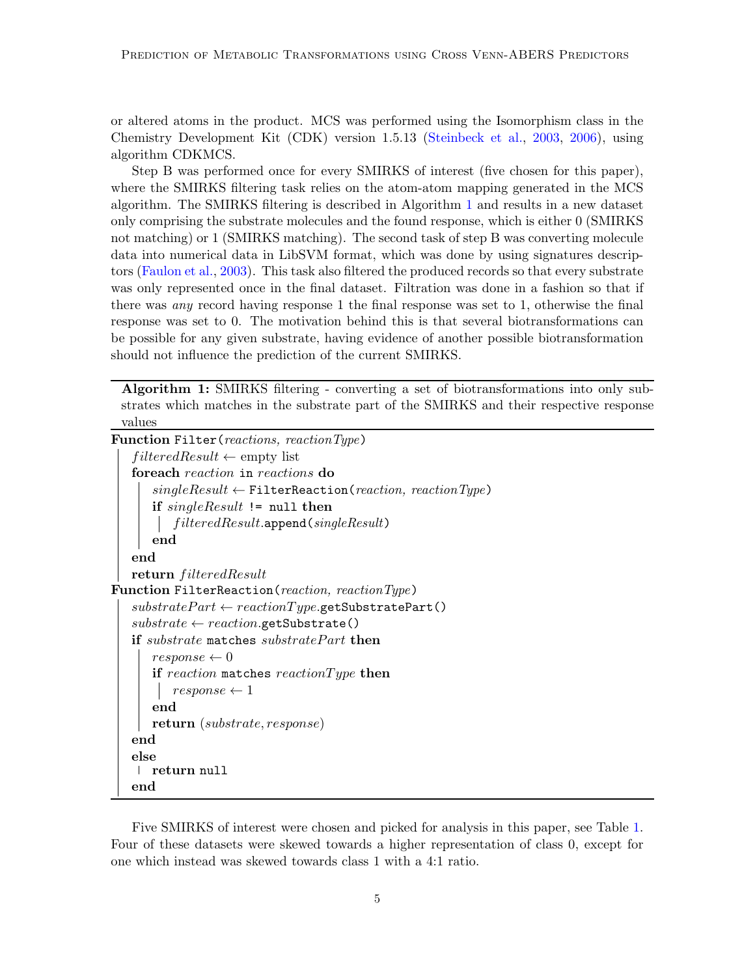or altered atoms in the product. MCS was performed using the Isomorphism class in the Chemistry Development Kit (CDK) version 1.5.13 [\(Steinbeck et al.,](#page-12-9) [2003,](#page-12-9) [2006\)](#page-12-10), using algorithm CDKMCS.

Step B was performed once for every SMIRKS of interest (five chosen for this paper), where the SMIRKS filtering task relies on the atom-atom mapping generated in the MCS algorithm. The SMIRKS filtering is described in Algorithm [1](#page-4-0) and results in a new dataset only comprising the substrate molecules and the found response, which is either 0 (SMIRKS not matching) or 1 (SMIRKS matching). The second task of step B was converting molecule data into numerical data in LibSVM format, which was done by using signatures descriptors [\(Faulon et al.,](#page-11-5) [2003\)](#page-11-5). This task also filtered the produced records so that every substrate was only represented once in the final dataset. Filtration was done in a fashion so that if there was any record having response 1 the final response was set to 1, otherwise the final response was set to 0. The motivation behind this is that several biotransformations can be possible for any given substrate, having evidence of another possible biotransformation should not influence the prediction of the current SMIRKS.

Algorithm 1: SMIRKS filtering - converting a set of biotransformations into only substrates which matches in the substrate part of the SMIRKS and their respective response values

<span id="page-4-0"></span>Function Filter(reactions, reactionType)

```
filteredResult \leftarrow \text{empty list}foreach reaction in reactions do
       singleResult \leftarrow \text{FilterReaction}(reaction, reactionType)if singleResult != null then
        \int filteredResult.append(singleResult)
       end
   end
   return filteredResult
Function FilterReaction(reaction, reactionType)
   substratePart \leftarrow reactionType.getSubstratePart()substrate \leftarrow reaction.getSubstrate()if substrate matches substrate Part then
       response \leftarrow 0if reaction matches reaction Type then
          response \leftarrow 1end
       return (substrate, response)
   end
   else
    return null
   end
```
Five SMIRKS of interest were chosen and picked for analysis in this paper, see Table [1.](#page-5-0) Four of these datasets were skewed towards a higher representation of class 0, except for one which instead was skewed towards class 1 with a 4:1 ratio.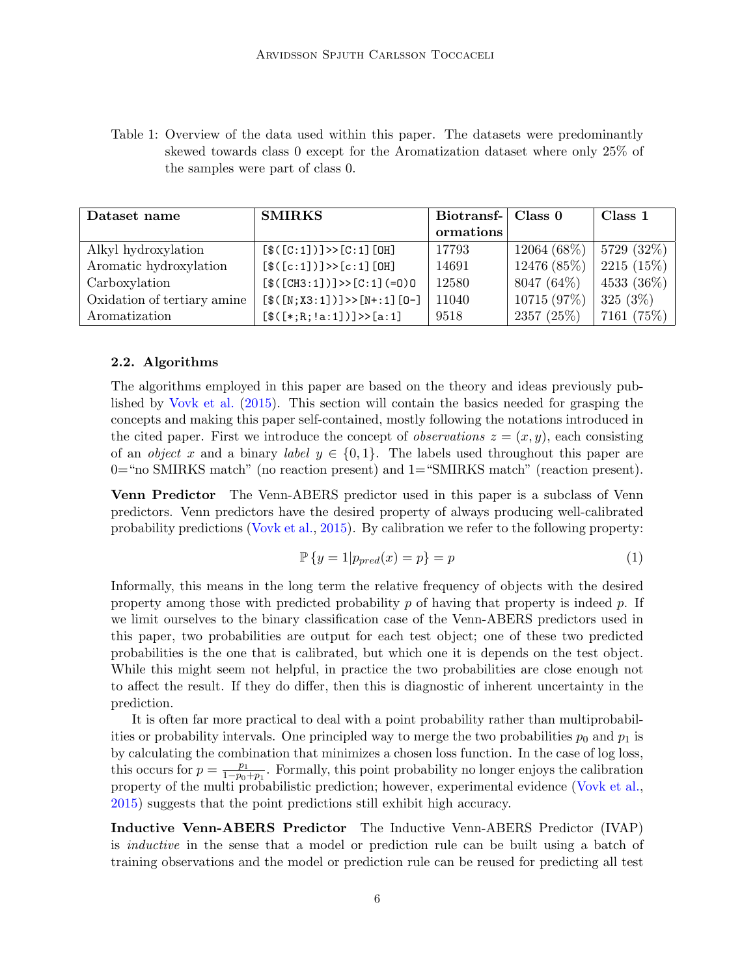<span id="page-5-0"></span>Table 1: Overview of the data used within this paper. The datasets were predominantly skewed towards class 0 except for the Aromatization dataset where only 25% of the samples were part of class 0.

| Dataset name                | <b>SMIRKS</b>                 | Biotransf- | Class 0       | Class 1      |
|-----------------------------|-------------------------------|------------|---------------|--------------|
|                             |                               | ormations  |               |              |
| Alkyl hydroxylation         | $[\$([C:1])]>> [C:1][OH]$     | 17793      | $12064(68\%)$ | 5729 (32%)   |
| Aromatic hydroxylation      | $[\$([c:1])]>>[c:1][0H]$      | 14691      | 12476 (85%)   | $2215(15\%)$ |
| Carboxylation               | $[\$([CH3:1])]>> [C:1] (=0)0$ | 12580      | 8047 (64\%)   | 4533 (36%)   |
| Oxidation of tertiary amine | $[\$(N;X3:1])]>>[N+:1][0-]$   | 11040      | 10715 (97%)   | $325(3\%)$   |
| Aromatization               | $[\$([*,R; !a:1])]>>[a:1]$    | 9518       | 2357 (25%)    | 7161 (75%)   |

#### 2.2. Algorithms

The algorithms employed in this paper are based on the theory and ideas previously published by [Vovk et al.](#page-13-1) [\(2015\)](#page-13-1). This section will contain the basics needed for grasping the concepts and making this paper self-contained, mostly following the notations introduced in the cited paper. First we introduce the concept of *observations*  $z = (x, y)$ , each consisting of an *object* x and a binary *label*  $y \in \{0, 1\}$ . The labels used throughout this paper are 0="no SMIRKS match" (no reaction present) and 1="SMIRKS match" (reaction present).

Venn Predictor The Venn-ABERS predictor used in this paper is a subclass of Venn predictors. Venn predictors have the desired property of always producing well-calibrated probability predictions [\(Vovk et al.,](#page-13-1) [2015\)](#page-13-1). By calibration we refer to the following property:

$$
\mathbb{P}\left\{y=1|p_{pred}(x)=p\right\}=p\tag{1}
$$

Informally, this means in the long term the relative frequency of objects with the desired property among those with predicted probability  $p$  of having that property is indeed  $p$ . If we limit ourselves to the binary classification case of the Venn-ABERS predictors used in this paper, two probabilities are output for each test object; one of these two predicted probabilities is the one that is calibrated, but which one it is depends on the test object. While this might seem not helpful, in practice the two probabilities are close enough not to affect the result. If they do differ, then this is diagnostic of inherent uncertainty in the prediction.

It is often far more practical to deal with a point probability rather than multiprobabilities or probability intervals. One principled way to merge the two probabilities  $p_0$  and  $p_1$  is by calculating the combination that minimizes a chosen loss function. In the case of log loss, this occurs for  $p = \frac{p_1}{1-p_0}$  $\frac{p_1}{1-p_0+p_1}$ . Formally, this point probability no longer enjoys the calibration property of the multi probabilistic prediction; however, experimental evidence [\(Vovk et al.,](#page-13-1) [2015\)](#page-13-1) suggests that the point predictions still exhibit high accuracy.

Inductive Venn-ABERS Predictor The Inductive Venn-ABERS Predictor (IVAP) is inductive in the sense that a model or prediction rule can be built using a batch of training observations and the model or prediction rule can be reused for predicting all test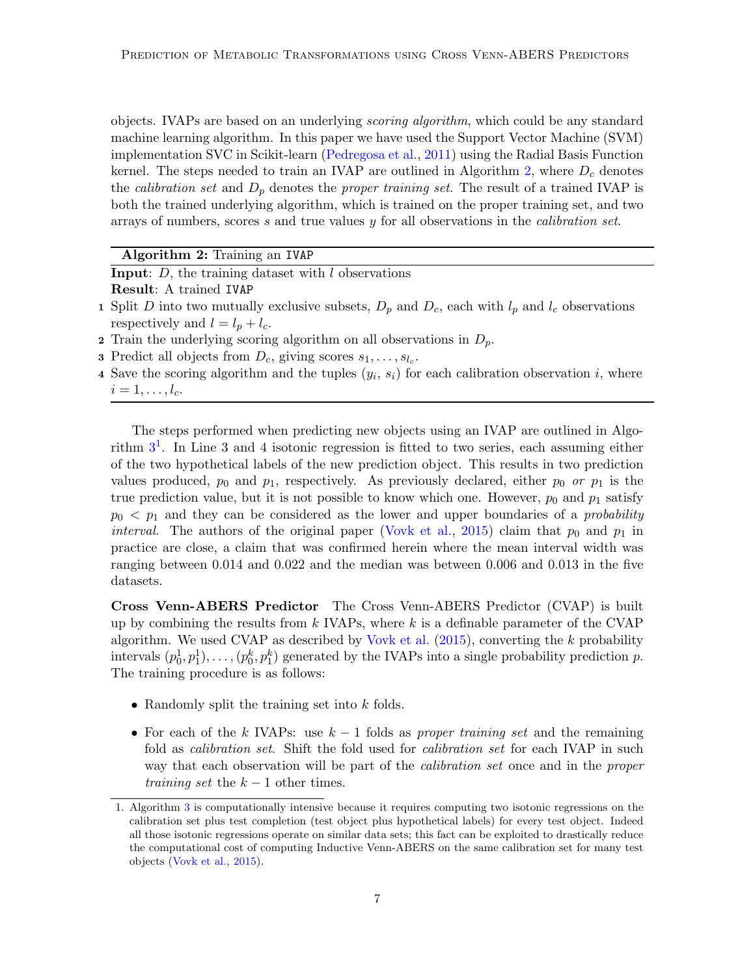objects. IVAPs are based on an underlying scoring algorithm, which could be any standard machine learning algorithm. In this paper we have used the Support Vector Machine (SVM) implementation SVC in Scikit-learn [\(Pedregosa et al.,](#page-12-11) [2011\)](#page-12-11) using the Radial Basis Function kernel. The steps needed to train an IVAP are outlined in Algorithm [2,](#page-6-0) where  $D_c$  denotes the *calibration set* and  $D_p$  denotes the *proper training set*. The result of a trained IVAP is both the trained underlying algorithm, which is trained on the proper training set, and two arrays of numbers, scores  $s$  and true values  $y$  for all observations in the *calibration set*.

#### Algorithm 2: Training an IVAP

<span id="page-6-0"></span>**Input:**  $D$ , the training dataset with  $l$  observations

Result: A trained IVAP

- 1 Split D into two mutually exclusive subsets,  $D_p$  and  $D_c$ , each with  $l_p$  and  $l_c$  observations respectively and  $l = l_p + l_c$ .
- 2 Train the underlying scoring algorithm on all observations in  $D_n$ .
- **3** Predict all objects from  $D_c$ , giving scores  $s_1, \ldots, s_{l_c}$ .
- 4 Save the scoring algorithm and the tuples  $(y_i, s_i)$  for each calibration observation i, where  $i=1,\ldots,l_c.$

The steps performed when predicting new objects using an IVAP are outlined in Algorithm  $3<sup>1</sup>$  $3<sup>1</sup>$  $3<sup>1</sup>$  $3<sup>1</sup>$ . In Line 3 and 4 isotonic regression is fitted to two series, each assuming either of the two hypothetical labels of the new prediction object. This results in two prediction values produced,  $p_0$  and  $p_1$ , respectively. As previously declared, either  $p_0$  or  $p_1$  is the true prediction value, but it is not possible to know which one. However,  $p_0$  and  $p_1$  satisfy  $p_0 < p_1$  and they can be considered as the lower and upper boundaries of a *probability interval.* The authors of the original paper [\(Vovk et al.,](#page-13-1) [2015\)](#page-13-1) claim that  $p_0$  and  $p_1$  in practice are close, a claim that was confirmed herein where the mean interval width was ranging between 0.014 and 0.022 and the median was between 0.006 and 0.013 in the five datasets.

Cross Venn-ABERS Predictor The Cross Venn-ABERS Predictor (CVAP) is built up by combining the results from  $k$  IVAPs, where  $k$  is a definable parameter of the CVAP algorithm. We used CVAP as described by [Vovk et al.](#page-13-1)  $(2015)$ , converting the k probability intervals  $(p_0^1, p_1^1), \ldots, (p_0^k, p_1^k)$  generated by the IVAPs into a single probability prediction p. The training procedure is as follows:

- Randomly split the training set into  $k$  folds.
- For each of the k IVAPs: use  $k-1$  folds as proper training set and the remaining fold as *calibration set*. Shift the fold used for *calibration set* for each IVAP in such way that each observation will be part of the *calibration set* once and in the *proper* training set the  $k-1$  other times.

<span id="page-6-1"></span><sup>1.</sup> Algorithm [3](#page-7-0) is computationally intensive because it requires computing two isotonic regressions on the calibration set plus test completion (test object plus hypothetical labels) for every test object. Indeed all those isotonic regressions operate on similar data sets; this fact can be exploited to drastically reduce the computational cost of computing Inductive Venn-ABERS on the same calibration set for many test objects [\(Vovk et al.,](#page-13-1) [2015\)](#page-13-1).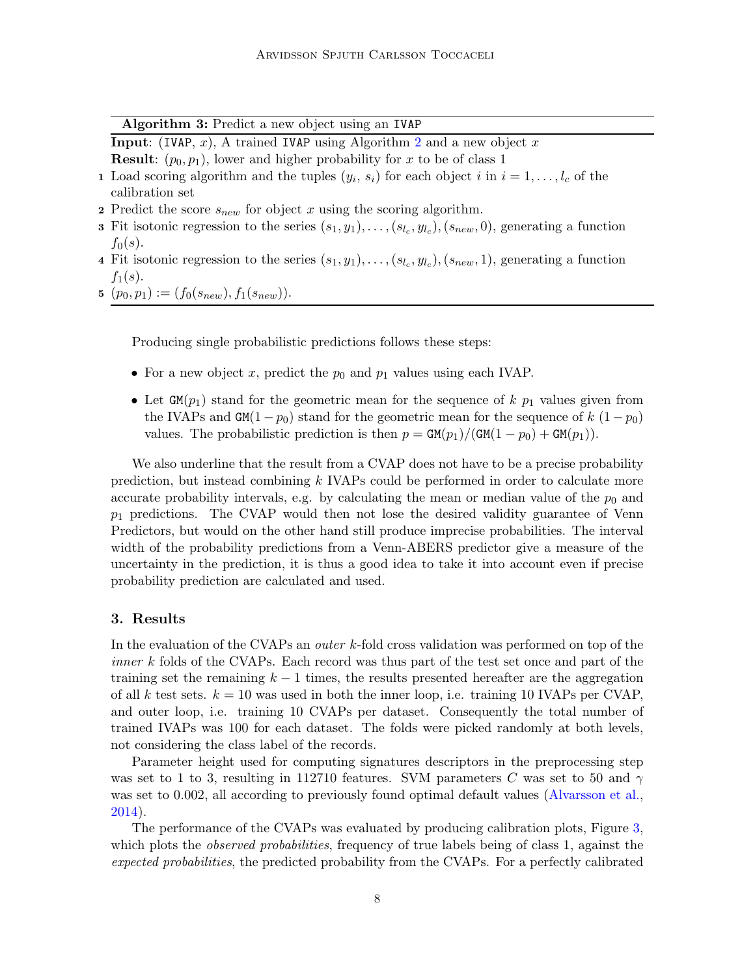Algorithm 3: Predict a new object using an IVAP

<span id="page-7-0"></span>**Input:** (IVAP, x), A trained IVAP using Algorithm [2](#page-6-0) and a new object x **Result:**  $(p_0, p_1)$ , lower and higher probability for x to be of class 1

- 1 Load scoring algorithm and the tuples  $(y_i, s_i)$  for each object i in  $i = 1, \ldots, l_c$  of the calibration set
- 2 Predict the score  $s_{new}$  for object x using the scoring algorithm.
- **3** Fit isotonic regression to the series  $(s_1, y_1), \ldots, (s_{l_c}, y_{l_c}), (s_{new}, 0)$ , generating a function  $f_0(s)$ .
- 4 Fit isotonic regression to the series  $(s_1, y_1), \ldots, (s_{l_c}, y_{l_c}), (s_{new}, 1)$ , generating a function  $f_1(s)$ .
- 5  $(p_0, p_1) := (f_0(s_{new}), f_1(s_{new})).$

Producing single probabilistic predictions follows these steps:

- For a new object x, predict the  $p_0$  and  $p_1$  values using each IVAP.
- Let  $GM(p_1)$  stand for the geometric mean for the sequence of k  $p_1$  values given from the IVAPs and GM(1 −  $p_0$ ) stand for the geometric mean for the sequence of k (1 −  $p_0$ ) values. The probabilistic prediction is then  $p = \frac{GM(p_1)}{GM(1 - p_0)} + \frac{GM(p_1)}{M}$ .

We also underline that the result from a CVAP does not have to be a precise probability prediction, but instead combining k IVAPs could be performed in order to calculate more accurate probability intervals, e.g. by calculating the mean or median value of the  $p_0$  and  $p_1$  predictions. The CVAP would then not lose the desired validity guarantee of Venn Predictors, but would on the other hand still produce imprecise probabilities. The interval width of the probability predictions from a Venn-ABERS predictor give a measure of the uncertainty in the prediction, it is thus a good idea to take it into account even if precise probability prediction are calculated and used.

# 3. Results

In the evaluation of the CVAPs an *outer k*-fold cross validation was performed on top of the inner k folds of the CVAPs. Each record was thus part of the test set once and part of the training set the remaining  $k - 1$  times, the results presented hereafter are the aggregation of all k test sets.  $k = 10$  was used in both the inner loop, i.e. training 10 IVAPs per CVAP, and outer loop, i.e. training 10 CVAPs per dataset. Consequently the total number of trained IVAPs was 100 for each dataset. The folds were picked randomly at both levels, not considering the class label of the records.

Parameter height used for computing signatures descriptors in the preprocessing step was set to 1 to 3, resulting in 112710 features. SVM parameters C was set to 50 and  $\gamma$ was set to 0.002, all according to previously found optimal default values [\(Alvarsson et al.,](#page-11-6) [2014\)](#page-11-6).

The performance of the CVAPs was evaluated by producing calibration plots, Figure [3,](#page-8-0) which plots the *observed probabilities*, frequency of true labels being of class 1, against the expected probabilities, the predicted probability from the CVAPs. For a perfectly calibrated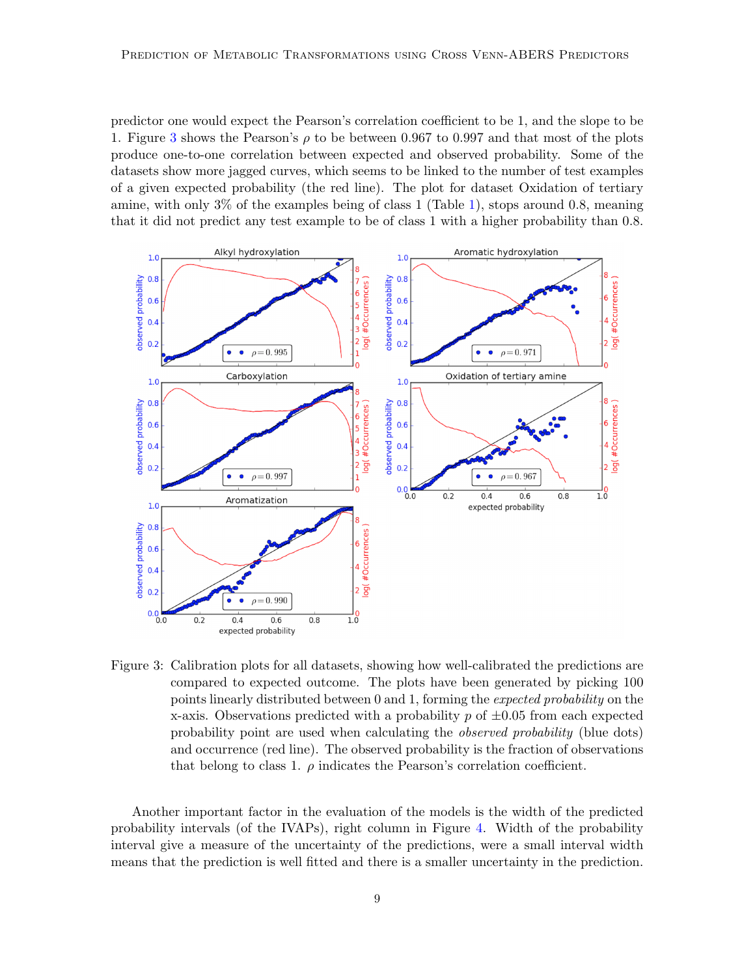predictor one would expect the Pearson's correlation coefficient to be 1, and the slope to be 1. Figure [3](#page-8-0) shows the Pearson's  $\rho$  to be between 0.967 to 0.997 and that most of the plots produce one-to-one correlation between expected and observed probability. Some of the datasets show more jagged curves, which seems to be linked to the number of test examples of a given expected probability (the red line). The plot for dataset Oxidation of tertiary amine, with only 3% of the examples being of class 1 (Table [1\)](#page-5-0), stops around 0.8, meaning that it did not predict any test example to be of class 1 with a higher probability than 0.8.



<span id="page-8-0"></span>Figure 3: Calibration plots for all datasets, showing how well-calibrated the predictions are compared to expected outcome. The plots have been generated by picking 100 points linearly distributed between 0 and 1, forming the expected probability on the x-axis. Observations predicted with a probability  $p$  of  $\pm 0.05$  from each expected probability point are used when calculating the observed probability (blue dots) and occurrence (red line). The observed probability is the fraction of observations that belong to class 1.  $\rho$  indicates the Pearson's correlation coefficient.

Another important factor in the evaluation of the models is the width of the predicted probability intervals (of the IVAPs), right column in Figure [4.](#page-10-0) Width of the probability interval give a measure of the uncertainty of the predictions, were a small interval width means that the prediction is well fitted and there is a smaller uncertainty in the prediction.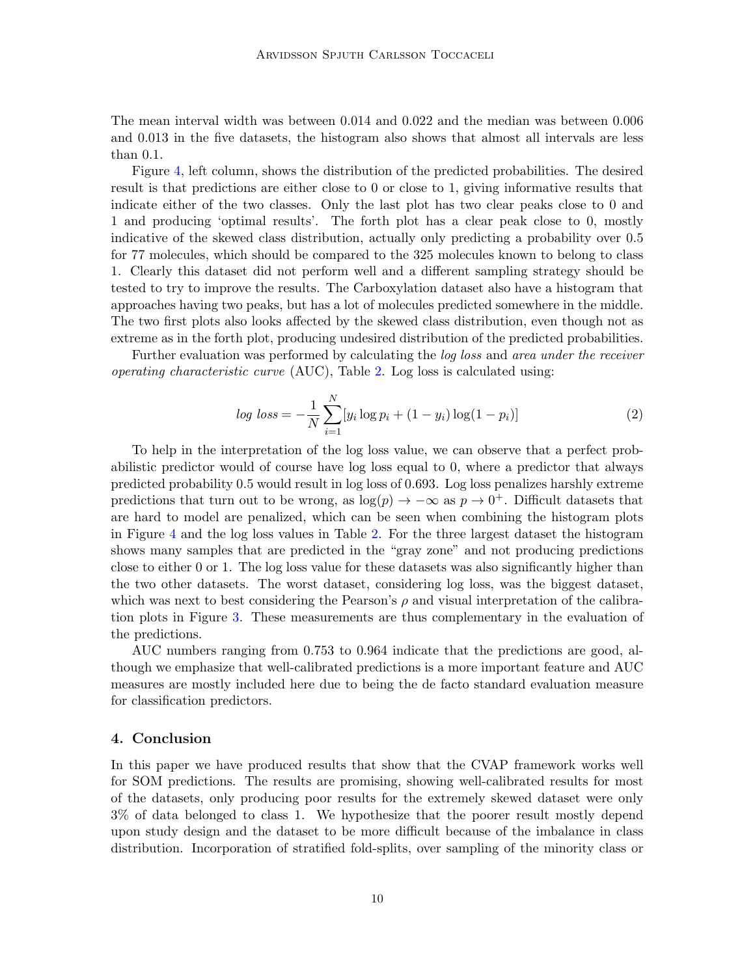The mean interval width was between 0.014 and 0.022 and the median was between 0.006 and 0.013 in the five datasets, the histogram also shows that almost all intervals are less than 0.1.

Figure [4,](#page-10-0) left column, shows the distribution of the predicted probabilities. The desired result is that predictions are either close to 0 or close to 1, giving informative results that indicate either of the two classes. Only the last plot has two clear peaks close to 0 and 1 and producing 'optimal results'. The forth plot has a clear peak close to 0, mostly indicative of the skewed class distribution, actually only predicting a probability over 0.5 for 77 molecules, which should be compared to the 325 molecules known to belong to class 1. Clearly this dataset did not perform well and a different sampling strategy should be tested to try to improve the results. The Carboxylation dataset also have a histogram that approaches having two peaks, but has a lot of molecules predicted somewhere in the middle. The two first plots also looks affected by the skewed class distribution, even though not as extreme as in the forth plot, producing undesired distribution of the predicted probabilities.

Further evaluation was performed by calculating the *log loss* and *area under the receiver* operating characteristic curve (AUC), Table [2.](#page-11-7) Log loss is calculated using:

$$
log loss = -\frac{1}{N} \sum_{i=1}^{N} [y_i \log p_i + (1 - y_i) \log(1 - p_i)]
$$
\n(2)

To help in the interpretation of the log loss value, we can observe that a perfect probabilistic predictor would of course have log loss equal to 0, where a predictor that always predicted probability 0.5 would result in log loss of 0.693. Log loss penalizes harshly extreme predictions that turn out to be wrong, as  $log(p) \rightarrow -\infty$  as  $p \rightarrow 0^+$ . Difficult datasets that are hard to model are penalized, which can be seen when combining the histogram plots in Figure [4](#page-10-0) and the log loss values in Table [2.](#page-11-7) For the three largest dataset the histogram shows many samples that are predicted in the "gray zone" and not producing predictions close to either 0 or 1. The log loss value for these datasets was also significantly higher than the two other datasets. The worst dataset, considering log loss, was the biggest dataset, which was next to best considering the Pearson's  $\rho$  and visual interpretation of the calibration plots in Figure [3.](#page-8-0) These measurements are thus complementary in the evaluation of the predictions.

AUC numbers ranging from 0.753 to 0.964 indicate that the predictions are good, although we emphasize that well-calibrated predictions is a more important feature and AUC measures are mostly included here due to being the de facto standard evaluation measure for classification predictors.

## 4. Conclusion

In this paper we have produced results that show that the CVAP framework works well for SOM predictions. The results are promising, showing well-calibrated results for most of the datasets, only producing poor results for the extremely skewed dataset were only 3% of data belonged to class 1. We hypothesize that the poorer result mostly depend upon study design and the dataset to be more difficult because of the imbalance in class distribution. Incorporation of stratified fold-splits, over sampling of the minority class or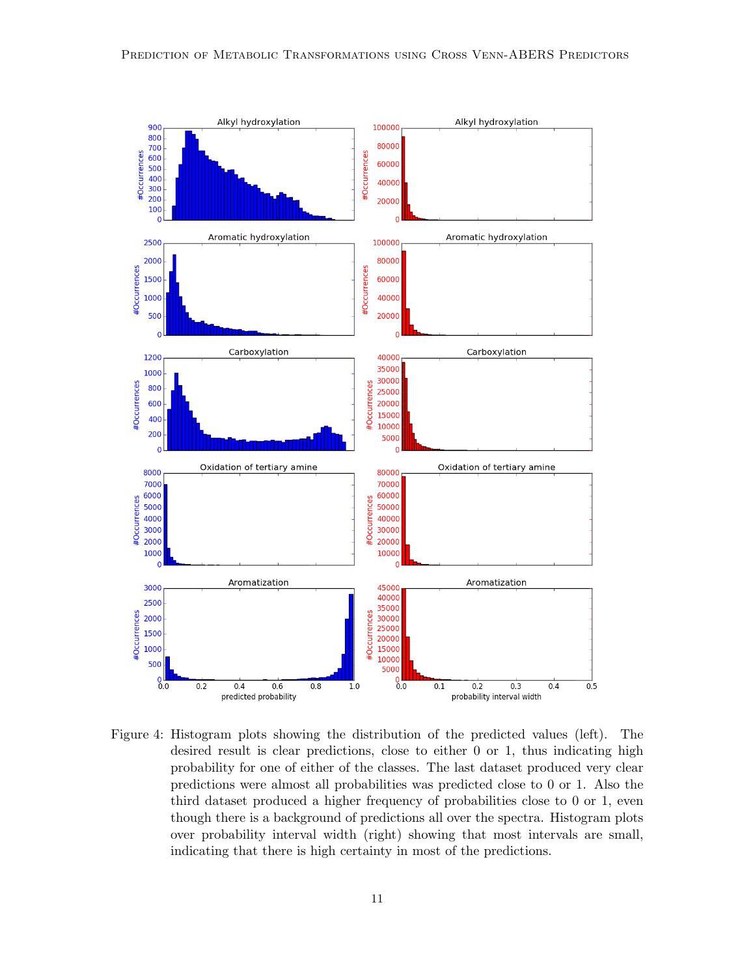

<span id="page-10-0"></span>Figure 4: Histogram plots showing the distribution of the predicted values (left). The desired result is clear predictions, close to either 0 or 1, thus indicating high probability for one of either of the classes. The last dataset produced very clear predictions were almost all probabilities was predicted close to 0 or 1. Also the third dataset produced a higher frequency of probabilities close to 0 or 1, even though there is a background of predictions all over the spectra. Histogram plots over probability interval width (right) showing that most intervals are small, indicating that there is high certainty in most of the predictions.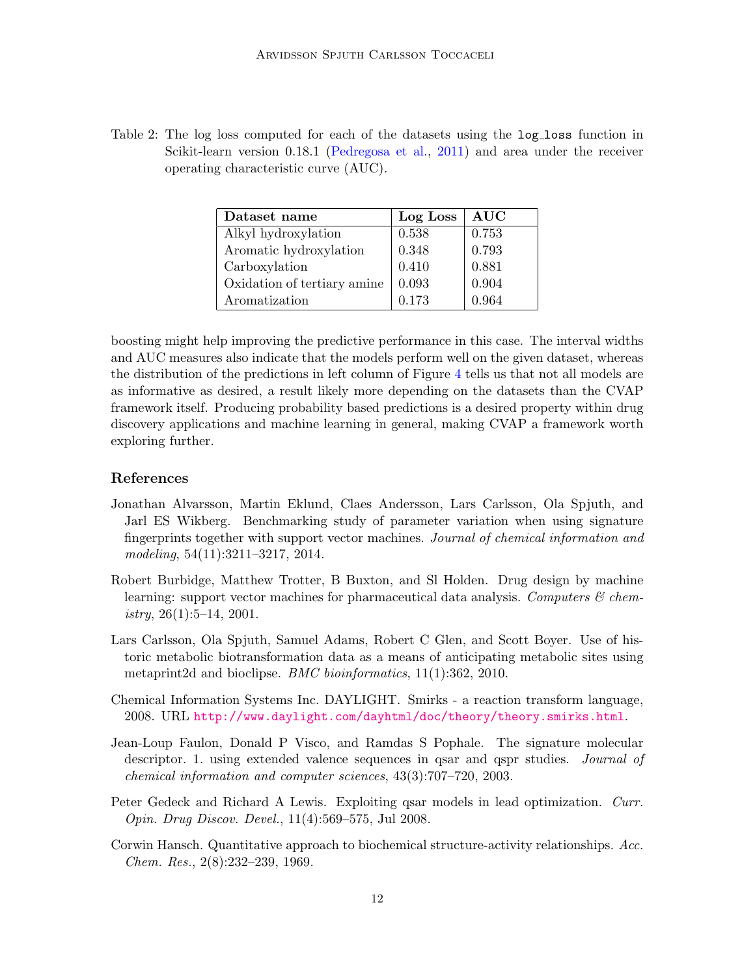<span id="page-11-7"></span>Table 2: The log loss computed for each of the datasets using the log-loss function in Scikit-learn version 0.18.1 [\(Pedregosa et al.,](#page-12-11) [2011\)](#page-12-11) and area under the receiver operating characteristic curve (AUC).

| Dataset name                | Log Loss | <b>AUC</b> |  |
|-----------------------------|----------|------------|--|
| Alkyl hydroxylation         | 0.538    | 0.753      |  |
| Aromatic hydroxylation      | 0.348    | 0.793      |  |
| Carboxylation               | 0.410    | 0.881      |  |
| Oxidation of tertiary amine | 0.093    | 0.904      |  |
| Aromatization               | 0.173    | 0.964      |  |

boosting might help improving the predictive performance in this case. The interval widths and AUC measures also indicate that the models perform well on the given dataset, whereas the distribution of the predictions in left column of Figure [4](#page-10-0) tells us that not all models are as informative as desired, a result likely more depending on the datasets than the CVAP framework itself. Producing probability based predictions is a desired property within drug discovery applications and machine learning in general, making CVAP a framework worth exploring further.

# References

- <span id="page-11-6"></span>Jonathan Alvarsson, Martin Eklund, Claes Andersson, Lars Carlsson, Ola Spjuth, and Jarl ES Wikberg. Benchmarking study of parameter variation when using signature fingerprints together with support vector machines. Journal of chemical information and modeling, 54(11):3211–3217, 2014.
- <span id="page-11-1"></span>Robert Burbidge, Matthew Trotter, B Buxton, and Sl Holden. Drug design by machine learning: support vector machines for pharmaceutical data analysis. Computers  $\mathcal{C}$  chemistry,  $26(1):5-14$ ,  $2001$ .
- <span id="page-11-3"></span>Lars Carlsson, Ola Spjuth, Samuel Adams, Robert C Glen, and Scott Boyer. Use of historic metabolic biotransformation data as a means of anticipating metabolic sites using metaprint2d and bioclipse. BMC bioinformatics, 11(1):362, 2010.
- <span id="page-11-4"></span>Chemical Information Systems Inc. DAYLIGHT. Smirks - a reaction transform language, 2008. URL <http://www.daylight.com/dayhtml/doc/theory/theory.smirks.html>.
- <span id="page-11-5"></span>Jean-Loup Faulon, Donald P Visco, and Ramdas S Pophale. The signature molecular descriptor. 1. using extended valence sequences in qsar and qspr studies. Journal of chemical information and computer sciences, 43(3):707–720, 2003.
- <span id="page-11-2"></span>Peter Gedeck and Richard A Lewis. Exploiting qsar models in lead optimization. Curr. Opin. Drug Discov. Devel., 11(4):569–575, Jul 2008.
- <span id="page-11-0"></span>Corwin Hansch. Quantitative approach to biochemical structure-activity relationships. Acc. Chem. Res., 2(8):232–239, 1969.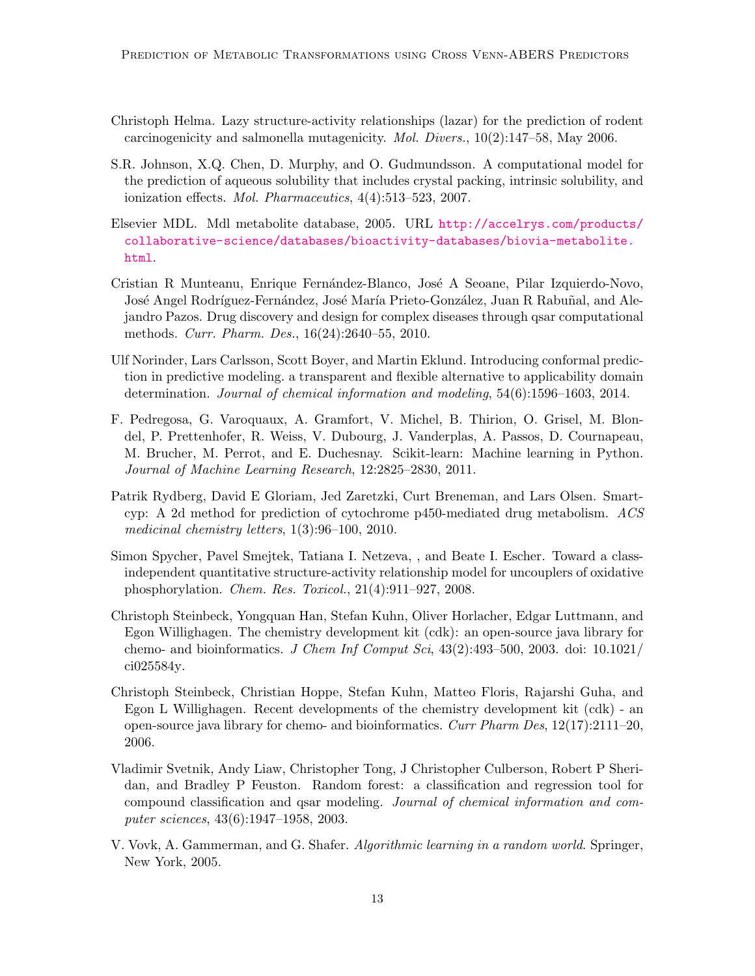- <span id="page-12-1"></span>Christoph Helma. Lazy structure-activity relationships (lazar) for the prediction of rodent carcinogenicity and salmonella mutagenicity. Mol. Divers., 10(2):147–58, May 2006.
- <span id="page-12-3"></span>S.R. Johnson, X.Q. Chen, D. Murphy, and O. Gudmundsson. A computational model for the prediction of aqueous solubility that includes crystal packing, intrinsic solubility, and ionization effects. Mol. Pharmaceutics, 4(4):513–523, 2007.
- <span id="page-12-8"></span>Elsevier MDL. Mdl metabolite database, 2005. URL [http://accelrys.com/products/](http://accelrys.com/products/collaborative-science/databases/bioactivity-databases/biovia-metabolite.html) [collaborative-science/databases/bioactivity-databases/biovia-metabolite.](http://accelrys.com/products/collaborative-science/databases/bioactivity-databases/biovia-metabolite.html) [html](http://accelrys.com/products/collaborative-science/databases/bioactivity-databases/biovia-metabolite.html).
- <span id="page-12-4"></span>Cristian R Munteanu, Enrique Fernández-Blanco, José A Seoane, Pilar Izquierdo-Novo, José Angel Rodríguez-Fernández, José María Prieto-González, Juan R Rabuñal, and Alejandro Pazos. Drug discovery and design for complex diseases through qsar computational methods. Curr. Pharm. Des., 16(24):2640–55, 2010.
- <span id="page-12-7"></span>Ulf Norinder, Lars Carlsson, Scott Boyer, and Martin Eklund. Introducing conformal prediction in predictive modeling. a transparent and flexible alternative to applicability domain determination. Journal of chemical information and modeling, 54(6):1596–1603, 2014.
- <span id="page-12-11"></span>F. Pedregosa, G. Varoquaux, A. Gramfort, V. Michel, B. Thirion, O. Grisel, M. Blondel, P. Prettenhofer, R. Weiss, V. Dubourg, J. Vanderplas, A. Passos, D. Cournapeau, M. Brucher, M. Perrot, and E. Duchesnay. Scikit-learn: Machine learning in Python. Journal of Machine Learning Research, 12:2825–2830, 2011.
- <span id="page-12-5"></span>Patrik Rydberg, David E Gloriam, Jed Zaretzki, Curt Breneman, and Lars Olsen. Smartcyp: A 2d method for prediction of cytochrome p450-mediated drug metabolism. ACS medicinal chemistry letters, 1(3):96–100, 2010.
- <span id="page-12-2"></span>Simon Spycher, Pavel Smejtek, Tatiana I. Netzeva, , and Beate I. Escher. Toward a classindependent quantitative structure-activity relationship model for uncouplers of oxidative phosphorylation. Chem. Res. Toxicol., 21(4):911–927, 2008.
- <span id="page-12-9"></span>Christoph Steinbeck, Yongquan Han, Stefan Kuhn, Oliver Horlacher, Edgar Luttmann, and Egon Willighagen. The chemistry development kit (cdk): an open-source java library for chemo- and bioinformatics. J Chem Inf Comput Sci,  $43(2):493-500$ ,  $2003$ . doi:  $10.1021/$ ci025584y.
- <span id="page-12-10"></span>Christoph Steinbeck, Christian Hoppe, Stefan Kuhn, Matteo Floris, Rajarshi Guha, and Egon L Willighagen. Recent developments of the chemistry development kit (cdk) - an open-source java library for chemo- and bioinformatics. Curr Pharm Des,  $12(17):2111-20$ , 2006.
- <span id="page-12-0"></span>Vladimir Svetnik, Andy Liaw, Christopher Tong, J Christopher Culberson, Robert P Sheridan, and Bradley P Feuston. Random forest: a classification and regression tool for compound classification and qsar modeling. Journal of chemical information and computer sciences, 43(6):1947–1958, 2003.
- <span id="page-12-6"></span>V. Vovk, A. Gammerman, and G. Shafer. Algorithmic learning in a random world. Springer, New York, 2005.